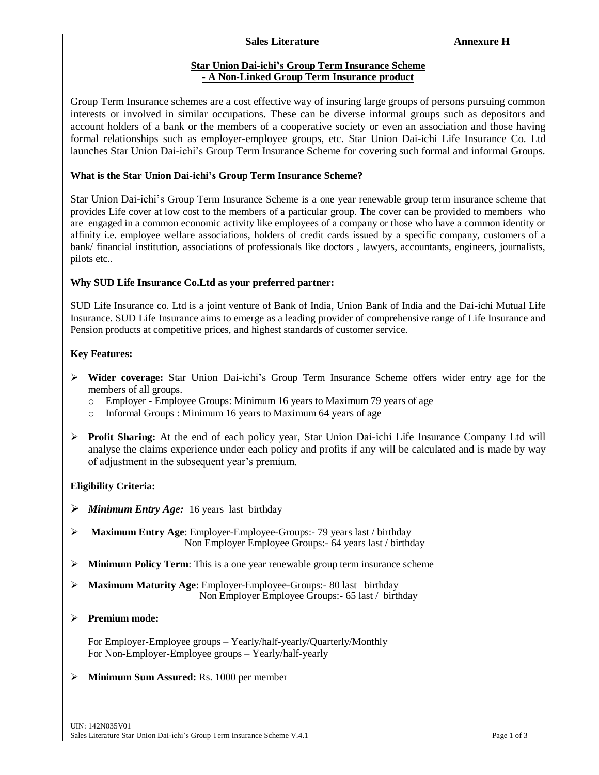# **Sales Literature Annexure H**

## **Star Union Dai-ichi's Group Term Insurance Scheme - A Non-Linked Group Term Insurance product**

Group Term Insurance schemes are a cost effective way of insuring large groups of persons pursuing common interests or involved in similar occupations. These can be diverse informal groups such as depositors and account holders of a bank or the members of a cooperative society or even an association and those having formal relationships such as employer-employee groups, etc. Star Union Dai-ichi Life Insurance Co. Ltd launches Star Union Dai-ichi's Group Term Insurance Scheme for covering such formal and informal Groups.

## **What is the Star Union Dai-ichi's Group Term Insurance Scheme?**

Star Union Dai-ichi's Group Term Insurance Scheme is a one year renewable group term insurance scheme that provides Life cover at low cost to the members of a particular group. The cover can be provided to members who are engaged in a common economic activity like employees of a company or those who have a common identity or affinity i.e. employee welfare associations, holders of credit cards issued by a specific company, customers of a bank/ financial institution, associations of professionals like doctors , lawyers, accountants, engineers, journalists, pilots etc..

## **Why SUD Life Insurance Co.Ltd as your preferred partner:**

SUD Life Insurance co. Ltd is a joint venture of Bank of India, Union Bank of India and the Dai-ichi Mutual Life Insurance. SUD Life Insurance aims to emerge as a leading provider of comprehensive range of Life Insurance and Pension products at competitive prices, and highest standards of customer service.

## **Key Features:**

- **Wider coverage:** Star Union Dai-ichi's Group Term Insurance Scheme offers wider entry age for the members of all groups.
	- o Employer Employee Groups: Minimum 16 years to Maximum 79 years of age
	- o Informal Groups : Minimum 16 years to Maximum 64 years of age
- **Profit Sharing:** At the end of each policy year, Star Union Dai-ichi Life Insurance Company Ltd will analyse the claims experience under each policy and profits if any will be calculated and is made by way of adjustment in the subsequent year's premium.

## **Eligibility Criteria:**

- *Minimum Entry Age:* 16 years last birthday
- **Maximum Entry Age**: Employer-Employee-Groups:- 79 years last / birthday Non Employer Employee Groups:- 64 years last / birthday
- **Minimum Policy Term**: This is a one year renewable group term insurance scheme
- **Maximum Maturity Age**: Employer-Employee-Groups:- 80 last birthday Non Employer Employee Groups:- 65 last / birthday
- **Premium mode:**

For Employer-Employee groups – Yearly/half-yearly/Quarterly/Monthly For Non-Employer-Employee groups – Yearly/half-yearly

**Minimum Sum Assured:** Rs. 1000 per member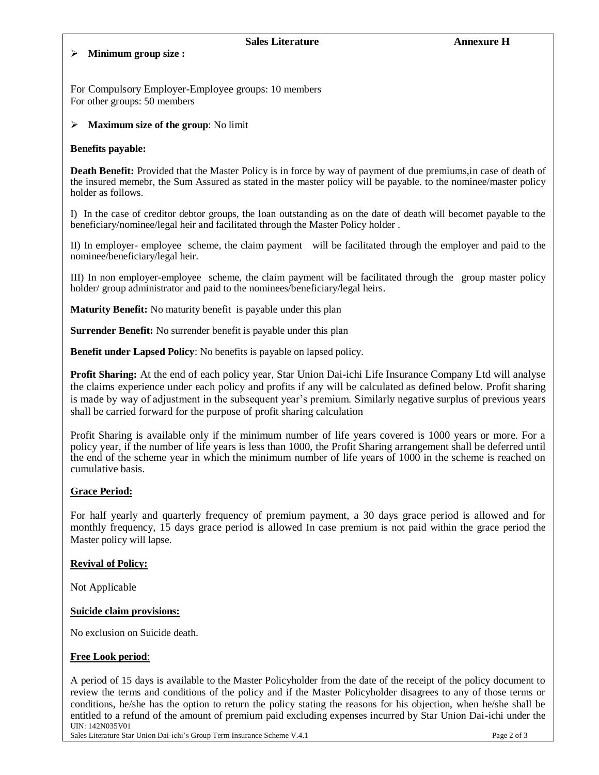### **Sales Literature Annexure H**

#### **Minimum group size :**

For Compulsory Employer-Employee groups: 10 members For other groups: 50 members

#### **Maximum size of the group**: No limit

#### **Benefits payable:**

**Death Benefit:** Provided that the Master Policy is in force by way of payment of due premiums,in case of death of the insured memebr, the Sum Assured as stated in the master policy will be payable. to the nominee/master policy holder as follows.

I) In the case of creditor debtor groups, the loan outstanding as on the date of death will becomet payable to the beneficiary/nominee/legal heir and facilitated through the Master Policy holder .

II) In employer- employee scheme, the claim payment will be facilitated through the employer and paid to the nominee/beneficiary/legal heir.

III) In non employer-employee scheme, the claim payment will be facilitated through the group master policy holder/ group administrator and paid to the nominees/beneficiary/legal heirs.

**Maturity Benefit:** No maturity benefit is payable under this plan

**Surrender Benefit:** No surrender benefit is payable under this plan

**Benefit under Lapsed Policy**: No benefits is payable on lapsed policy.

**Profit Sharing:** At the end of each policy year, Star Union Dai-ichi Life Insurance Company Ltd will analyse the claims experience under each policy and profits if any will be calculated as defined below. Profit sharing is made by way of adjustment in the subsequent year's premium. Similarly negative surplus of previous years shall be carried forward for the purpose of profit sharing calculation

Profit Sharing is available only if the minimum number of life years covered is 1000 years or more. For a policy year, if the number of life years is less than 1000, the Profit Sharing arrangement shall be deferred until the end of the scheme year in which the minimum number of life years of 1000 in the scheme is reached on cumulative basis.

### **Grace Period:**

For half yearly and quarterly frequency of premium payment, a 30 days grace period is allowed and for monthly frequency, 15 days grace period is allowed In case premium is not paid within the grace period the Master policy will lapse.

### **Revival of Policy:**

Not Applicable

#### **Suicide claim provisions:**

No exclusion on Suicide death.

### **Free Look period**:

UIN: 142N035V01 A period of 15 days is available to the Master Policyholder from the date of the receipt of the policy document to review the terms and conditions of the policy and if the Master Policyholder disagrees to any of those terms or conditions, he/she has the option to return the policy stating the reasons for his objection, when he/she shall be entitled to a refund of the amount of premium paid excluding expenses incurred by Star Union Dai-ichi under the

Sales Literature Star Union Dai-ichi's Group Term Insurance Scheme V.4.1 Page 2 of 3